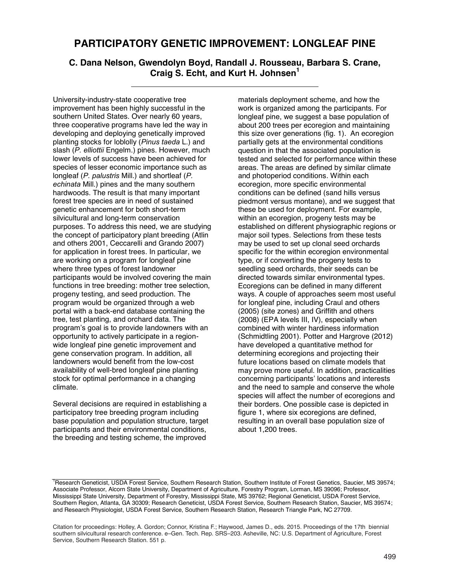## **PARTICIPATORY GENETIC IMPROVEMENT: LONGLEAF PINE**

## **C. Dana Nelson, Gwendolyn Boyd, Randall J. Rousseau, Barbara S. Crane, Craig S. Echt, and Kurt H. Johnsen<sup>1</sup>**

University-industry-state cooperative tree improvement has been highly successful in the southern United States. Over nearly 60 years, three cooperative programs have led the way in developing and deploying genetically improved planting stocks for loblolly (*Pinus taeda* L.) and slash (*P. elliottii* Engelm.) pines. However, much lower levels of success have been achieved for species of lesser economic importance such as longleaf (*P. palustris* Mill.) and shortleaf (*P. echinata* Mill.) pines and the many southern hardwoods. The result is that many important forest tree species are in need of sustained genetic enhancement for both short-term silvicultural and long-term conservation purposes. To address this need, we are studying the concept of participatory plant breeding (Atlin and others 2001, Ceccarelli and Grando 2007) for application in forest trees. In particular, we are working on a program for longleaf pine where three types of forest landowner participants would be involved covering the main functions in tree breeding: mother tree selection, progeny testing, and seed production. The program would be organized through a web portal with a back-end database containing the tree, test planting, and orchard data. The program's goal is to provide landowners with an opportunity to actively participate in a regionwide longleaf pine genetic improvement and gene conservation program. In addition, all landowners would benefit from the low-cost availability of well-bred longleaf pine planting stock for optimal performance in a changing climate.

Several decisions are required in establishing a participatory tree breeding program including base population and population structure, target participants and their environmental conditions, the breeding and testing scheme, the improved

materials deployment scheme, and how the work is organized among the participants. For longleaf pine, we suggest a base population of about 200 trees per ecoregion and maintaining this size over generations (fig. 1). An ecoregion partially gets at the environmental conditions question in that the associated population is tested and selected for performance within these areas. The areas are defined by similar climate and photoperiod conditions. Within each ecoregion, more specific environmental conditions can be defined (sand hills versus piedmont versus montane), and we suggest that these be used for deployment. For example, within an ecoregion, progeny tests may be established on different physiographic regions or major soil types. Selections from these tests may be used to set up clonal seed orchards specific for the within ecoregion environmental type, or if converting the progeny tests to seedling seed orchards, their seeds can be directed towards similar environmental types. Ecoregions can be defined in many different ways. A couple of approaches seem most useful for longleaf pine, including Craul and others (2005) (site zones) and Griffith and others (2008) (EPA levels III, IV), especially when combined with winter hardiness information (Schmidtling 2001). Potter and Hargrove (2012) have developed a quantitative method for determining ecoregions and projecting their future locations based on climate models that may prove more useful. In addition, practicalities concerning participants' locations and interests and the need to sample and conserve the whole species will affect the number of ecoregions and their borders. One possible case is depicted in figure 1, where six ecoregions are defined, resulting in an overall base population size of about 1,200 trees.

<sup>&</sup>lt;sup>1</sup>Research Geneticist, USDA Forest Service, Southern Research Station, Southern Institute of Forest Genetics, Saucier, MS 39574; Associate Professor, Alcorn State University, Department of Agriculture, Forestry Program, Lorman, MS 39096; Professor, Mississippi State University, Department of Forestry, Mississippi State, MS 39762; Regional Geneticist, USDA Forest Service, Southern Region, Atlanta, GA 30309; Research Geneticist, USDA Forest Service, Southern Research Station, Saucier, MS 39574; and Research Physiologist, USDA Forest Service, Southern Research Station, Research Triangle Park, NC 27709.

Citation for proceedings: Holley, A. Gordon; Connor, Kristina F.; Haywood, James D., eds. 2015. Proceedings of the 17th biennial Southern silvicultural research conference. e-Gen. Tech. Rep. SRS-203. Asheville, NC: U.S. Department of Agriculture, Forest Southern Silviculum Research Schleichser C. Gen.<br>Service, Southern Research Station. 551 p.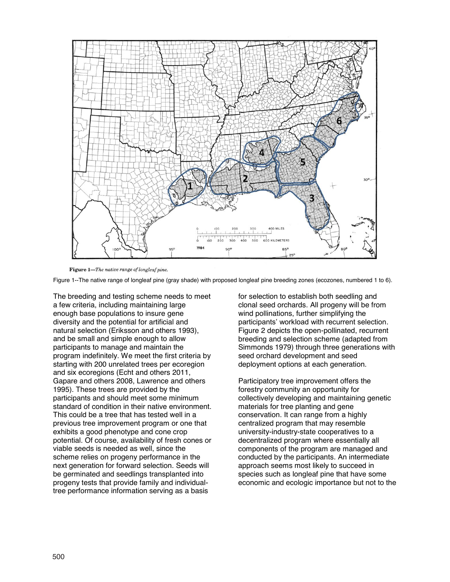

Figure 1-The native range of longleaf pine.

Figure 1--The native range of longleaf pine (gray shade) with proposed longleaf pine breeding zones (ecozones, numbered 1 to 6).

The breeding and testing scheme needs to meet a few criteria, including maintaining large enough base populations to insure gene diversity and the potential for artificial and natural selection (Eriksson and others 1993), and be small and simple enough to allow participants to manage and maintain the program indefinitely. We meet the first criteria by starting with 200 unrelated trees per ecoregion and six ecoregions (Echt and others 2011, Gapare and others 2008, Lawrence and others 1995). These trees are provided by the participants and should meet some minimum standard of condition in their native environment. This could be a tree that has tested well in a previous tree improvement program or one that exhibits a good phenotype and cone crop potential. Of course, availability of fresh cones or viable seeds is needed as well, since the scheme relies on progeny performance in the next generation for forward selection. Seeds will be germinated and seedlings transplanted into progeny tests that provide family and individualtree performance information serving as a basis

for selection to establish both seedling and clonal seed orchards. All progeny will be from wind pollinations, further simplifying the participants' workload with recurrent selection. Figure 2 depicts the open-pollinated, recurrent breeding and selection scheme (adapted from Simmonds 1979) through three generations with seed orchard development and seed deployment options at each generation.

Participatory tree improvement offers the forestry community an opportunity for collectively developing and maintaining genetic materials for tree planting and gene conservation. It can range from a highly centralized program that may resemble university-industry-state cooperatives to a decentralized program where essentially all components of the program are managed and conducted by the participants. An intermediate approach seems most likely to succeed in species such as longleaf pine that have some economic and ecologic importance but not to the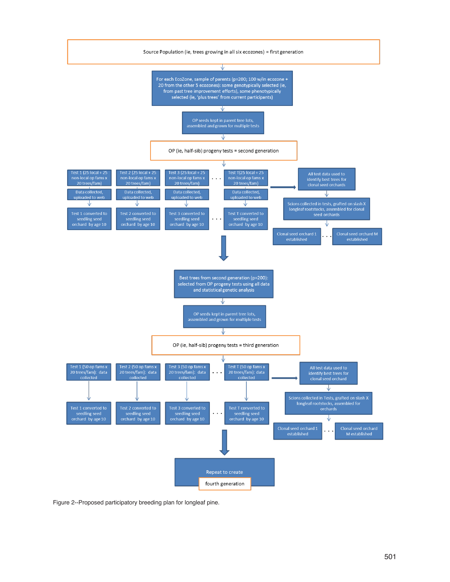

Figure 2--Proposed participatory breeding plan for longleaf pine.